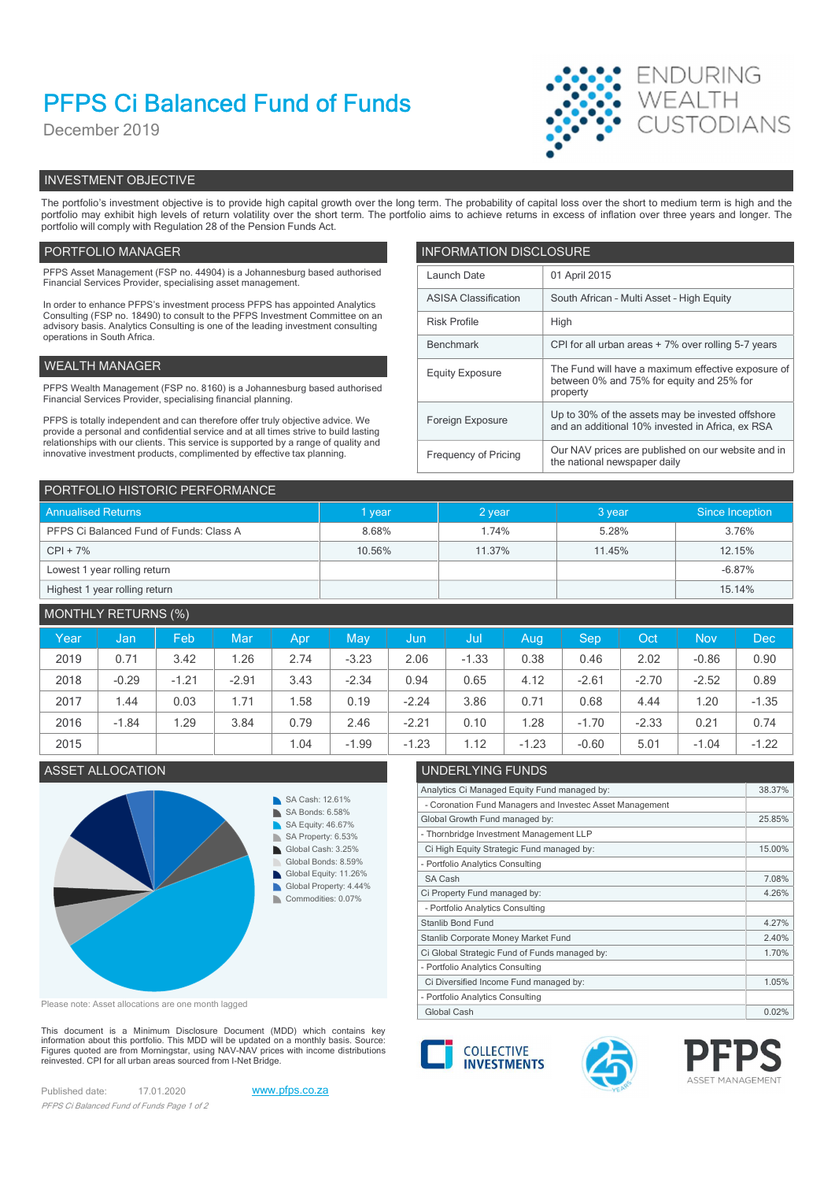# PFPS Ci Balanced Fund of Funds

December 2019



# INVESTMENT OBJECTIVE

The portfolio's investment objective is to provide high capital growth over the long term. The probability of capital loss over the short to medium term is high and the portfolio may exhibit high levels of return volatility over the short term. The portfolio aims to achieve returns in excess of inflation over three years and longer. The portfolio will comply with Regulation 28 of the Pension Funds Act.

# PORTFOLIO MANAGER **INFORMATION DISCLOSURE**

| PFPS Asset Management (FSP no. 44904) is a Johannesburg based authorised<br>Financial Services Provider, specialising asset management.                                | Launch Date                                                      | 01 April 2015                                                                                        |
|------------------------------------------------------------------------------------------------------------------------------------------------------------------------|------------------------------------------------------------------|------------------------------------------------------------------------------------------------------|
| In order to enhance PFPS's investment process PFPS has appointed Analytics                                                                                             | <b>ASISA Classification</b>                                      | South African - Multi Asset - High Equity                                                            |
| Consulting (FSP no. 18490) to consult to the PFPS Investment Committee on an<br>advisory basis. Analytics Consulting is one of the leading investment consulting       | <b>Risk Profile</b>                                              | High                                                                                                 |
| operations in South Africa.                                                                                                                                            | CPI for all urban areas + 7% over rolling 5-7 years<br>Benchmark |                                                                                                      |
| WEALTH MANAGER                                                                                                                                                         | <b>Equity Exposure</b>                                           | The Fund will have a maximum effective exposure of                                                   |
| PFPS Wealth Management (FSP no. 8160) is a Johannesburg based authorised<br>Financial Services Provider, specialising financial planning.                              |                                                                  | between 0% and 75% for equity and 25% for<br>property                                                |
| PFPS is totally independent and can therefore offer truly objective advice. We<br>provide a personal and confidential service and at all times strive to build lasting | Foreign Exposure                                                 | Up to 30% of the assets may be invested offshore<br>and an additional 10% invested in Africa, ex RSA |
| relationships with our clients. This service is supported by a range of quality and<br>innovative investment products, complimented by effective tax planning.         | Frequency of Pricing                                             | Our NAV prices are published on our website and in<br>the national newspaper daily                   |

| PORTFOLIO HISTORIC PERFORMANCE          |        |          |        |                 |  |  |  |  |
|-----------------------------------------|--------|----------|--------|-----------------|--|--|--|--|
| <b>Annualised Returns</b>               | I year | $2$ year | 3 year | Since Inception |  |  |  |  |
| PFPS Ci Balanced Fund of Funds: Class A | 8.68%  | 1.74%    | 5.28%  | 3.76%           |  |  |  |  |
| $CPI + 7%$                              | 10.56% | 11.37%   | 11.45% | 12.15%          |  |  |  |  |
| Lowest 1 year rolling return            |        |          |        | $-6.87%$        |  |  |  |  |
| Highest 1 year rolling return           |        |          |        | 15.14%          |  |  |  |  |

# MONTHLY RETURNS (%)

| Year | Jan,    | Feb     | Mar     | Apr  | May     | /Jun    | -Jul    | Aug     | <b>Sep</b> | Oct     | <b>Nov</b> | <b>Dec</b> |
|------|---------|---------|---------|------|---------|---------|---------|---------|------------|---------|------------|------------|
| 2019 | 0.71    | 3.42    | 1.26    | 2.74 | $-3.23$ | 2.06    | $-1.33$ | 0.38    | 0.46       | 2.02    | $-0.86$    | 0.90       |
| 2018 | $-0.29$ | $-1.21$ | $-2.91$ | 3.43 | $-2.34$ | 0.94    | 0.65    | 4.12    | $-2.61$    | $-2.70$ | $-2.52$    | 0.89       |
| 2017 | 1.44    | 0.03    | 1.71    | .58  | 0.19    | $-2.24$ | 3.86    | 0.71    | 0.68       | 4.44    | 1.20       | $-1.35$    |
| 2016 | $-1.84$ | .29     | 3.84    | 0.79 | 2.46    | $-2.21$ | 0.10    | 1.28    | $-1.70$    | $-2.33$ | 0.21       | 0.74       |
| 2015 |         |         |         | 1.04 | $-1.99$ | $-1.23$ | 1.12    | $-1.23$ | $-0.60$    | 5.01    | $-1.04$    | $-1.22$    |

## ASSET ALLOCATION UNDERLYING FUNDS



Please note: Asset allocations are one month lagged

This document is a Minimum Disclosure Document (MDD) which contains key<br>information about this portfolio. This MDD will be updated on a monthly basis. Source:<br>Figures quoted are from Morningstar, using NAV-NAV prices with reinvested. CPI for all urban areas sourced from I-Net Bridge.

Published date: 17.01.2020 www.pfps.co.za PFPS Ci Balanced Fund of Funds Page 1 of 2



- Portfolio Analytics Consulting

- Portfolio Analytics Consulting

Global Cash 0.02% | 2002 | 2002 | 2002 | 2002 | 2002 | 2002 | 2002 | 2002 | 2002 | 2002 | 2002 | 2002 | 2002 |





Analytics Ci Managed Equity Fund managed by: 38.37%

Global Growth Fund managed by: 25.85%

Ci High Equity Strategic Fund managed by: 15.00%

Ci Property Fund managed by: 4.26%

Ci Global Strategic Fund of Funds managed by: 1.70% Stanlib Corporate Money Market Fund 2.40%

- Coronation Fund Managers and Investec Asset Management

- Thornbridge Investment Management LLP



SA Cash 7.08%

Stanlib Bond Fund 4.27%